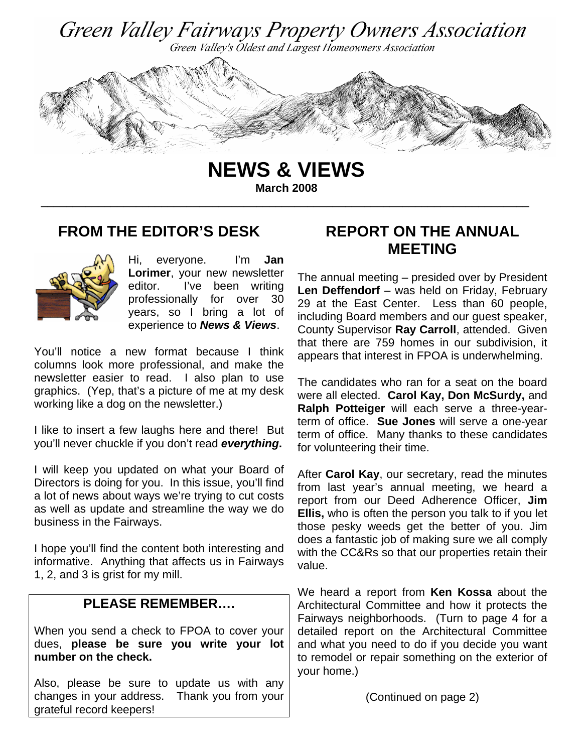

**NEWS & VIEWS March 2008** 

\_\_\_\_\_\_\_\_\_\_\_\_\_\_\_\_\_\_\_\_\_\_\_\_\_\_\_\_\_\_\_\_\_\_\_\_\_\_\_\_\_\_\_\_\_\_\_\_\_\_\_\_\_\_\_\_\_\_\_\_\_\_\_\_\_\_\_\_\_\_\_\_\_\_\_\_\_

### **FROM THE EDITOR'S DESK**



Hi, everyone. I'm **Jan Lorimer**, your new newsletter editor. I've been writing professionally for over 30 years, so I bring a lot of experience to *News & Views*.

You'll notice a new format because I think columns look more professional, and make the newsletter easier to read. I also plan to use graphics. (Yep, that's a picture of me at my desk working like a dog on the newsletter.)

I like to insert a few laughs here and there! But you'll never chuckle if you don't read *everything***.**

I will keep you updated on what your Board of Directors is doing for you. In this issue, you'll find a lot of news about ways we're trying to cut costs as well as update and streamline the way we do business in the Fairways.

I hope you'll find the content both interesting and informative. Anything that affects us in Fairways 1, 2, and 3 is grist for my mill.

### **PLEASE REMEMBER….**

When you send a check to FPOA to cover your dues, **please be sure you write your lot number on the check.** 

Also, please be sure to update us with any changes in your address. Thank you from your grateful record keepers!

# **REPORT ON THE ANNUAL MEETING**

The annual meeting – presided over by President **Len Deffendorf** – was held on Friday, February 29 at the East Center. Less than 60 people, including Board members and our guest speaker, County Supervisor **Ray Carroll**, attended. Given that there are 759 homes in our subdivision, it appears that interest in FPOA is underwhelming.

The candidates who ran for a seat on the board were all elected. **Carol Kay, Don McSurdy,** and **Ralph Potteiger** will each serve a three-yearterm of office. **Sue Jones** will serve a one-year term of office. Many thanks to these candidates for volunteering their time.

After **Carol Kay**, our secretary, read the minutes from last year's annual meeting, we heard a report from our Deed Adherence Officer, **Jim Ellis,** who is often the person you talk to if you let those pesky weeds get the better of you. Jim does a fantastic job of making sure we all comply with the CC&Rs so that our properties retain their value.

We heard a report from **Ken Kossa** about the Architectural Committee and how it protects the Fairways neighborhoods. (Turn to page 4 for a detailed report on the Architectural Committee and what you need to do if you decide you want to remodel or repair something on the exterior of your home.)

(Continued on page 2)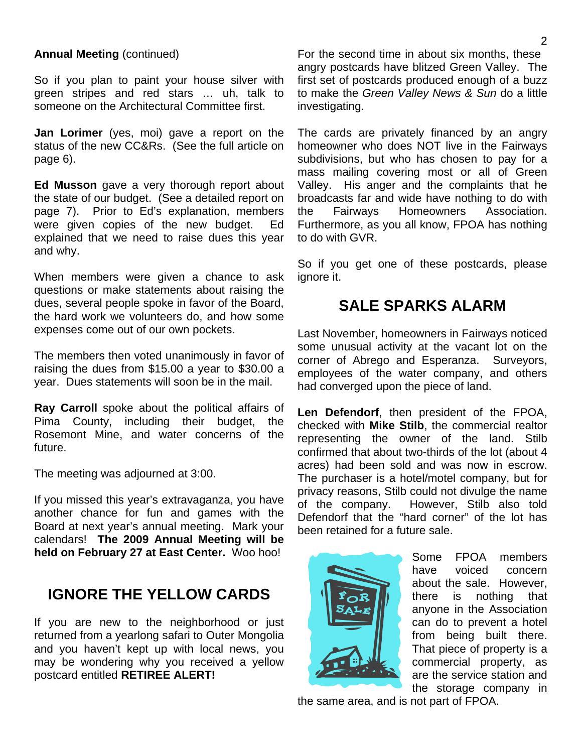### **Annual Meeting** (continued)

So if you plan to paint your house silver with green stripes and red stars … uh, talk to someone on the Architectural Committee first.

**Jan Lorimer** (yes, moi) gave a report on the status of the new CC&Rs. (See the full article on page 6).

**Ed Musson** gave a very thorough report about the state of our budget. (See a detailed report on page 7). Prior to Ed's explanation, members were given copies of the new budget. Ed explained that we need to raise dues this year and why.

When members were given a chance to ask questions or make statements about raising the dues, several people spoke in favor of the Board, the hard work we volunteers do, and how some expenses come out of our own pockets.

The members then voted unanimously in favor of raising the dues from \$15.00 a year to \$30.00 a year. Dues statements will soon be in the mail.

**Ray Carroll** spoke about the political affairs of Pima County, including their budget, the Rosemont Mine, and water concerns of the future.

The meeting was adjourned at 3:00.

If you missed this year's extravaganza, you have another chance for fun and games with the Board at next year's annual meeting. Mark your calendars! **The 2009 Annual Meeting will be held on February 27 at East Center.** Woo hoo!

## **IGNORE THE YELLOW CARDS**

If you are new to the neighborhood or just returned from a yearlong safari to Outer Mongolia and you haven't kept up with local news, you may be wondering why you received a yellow postcard entitled **RETIREE ALERT!**

For the second time in about six months, these angry postcards have blitzed Green Valley. The first set of postcards produced enough of a buzz to make the *Green Valley News & Sun* do a little investigating.

The cards are privately financed by an angry homeowner who does NOT live in the Fairways subdivisions, but who has chosen to pay for a mass mailing covering most or all of Green Valley. His anger and the complaints that he broadcasts far and wide have nothing to do with the Fairways Homeowners Association. Furthermore, as you all know, FPOA has nothing to do with GVR.

So if you get one of these postcards, please ignore it.

# **SALE SPARKS ALARM**

Last November, homeowners in Fairways noticed some unusual activity at the vacant lot on the corner of Abrego and Esperanza. Surveyors, employees of the water company, and others had converged upon the piece of land.

**Len Defendorf**, then president of the FPOA, checked with **Mike Stilb**, the commercial realtor representing the owner of the land. Stilb confirmed that about two-thirds of the lot (about 4 acres) had been sold and was now in escrow. The purchaser is a hotel/motel company, but for privacy reasons, Stilb could not divulge the name of the company. However, Stilb also told Defendorf that the "hard corner" of the lot has been retained for a future sale.



Some FPOA members have voiced concern about the sale. However, there is nothing that anyone in the Association can do to prevent a hotel from being built there. That piece of property is a commercial property, as are the service station and the storage company in

the same area, and is not part of FPOA.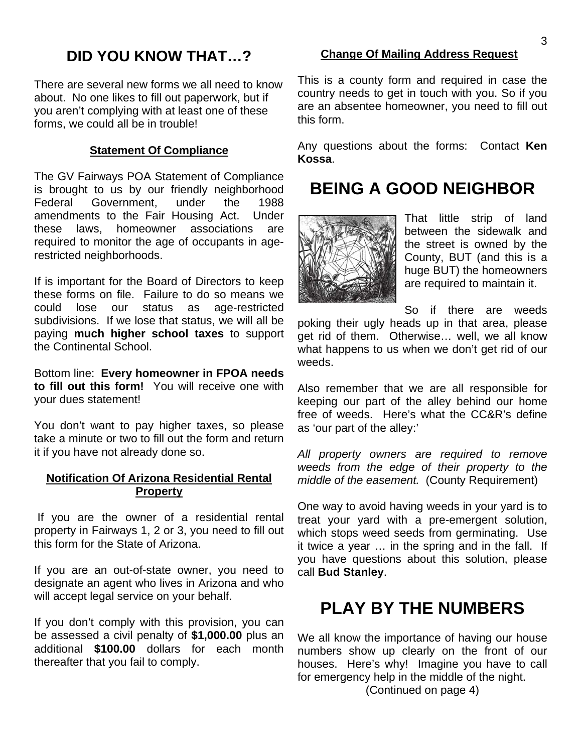# **DID YOU KNOW THAT…?**

There are several new forms we all need to know about. No one likes to fill out paperwork, but if you aren't complying with at least one of these forms, we could all be in trouble!

### **Statement Of Compliance**

The GV Fairways POA Statement of Compliance is brought to us by our friendly neighborhood Federal Government, under the 1988 amendments to the Fair Housing Act. Under these laws, homeowner associations are required to monitor the age of occupants in agerestricted neighborhoods.

If is important for the Board of Directors to keep these forms on file. Failure to do so means we could lose our status as age-restricted subdivisions. If we lose that status, we will all be paying **much higher school taxes** to support the Continental School.

Bottom line: **Every homeowner in FPOA needs to fill out this form!** You will receive one with your dues statement!

You don't want to pay higher taxes, so please take a minute or two to fill out the form and return it if you have not already done so.

### **Notification Of Arizona Residential Rental Property**

 If you are the owner of a residential rental property in Fairways 1, 2 or 3, you need to fill out this form for the State of Arizona.

If you are an out-of-state owner, you need to designate an agent who lives in Arizona and who will accept legal service on your behalf.

If you don't comply with this provision, you can be assessed a civil penalty of **\$1,000.00** plus an additional **\$100.00** dollars for each month thereafter that you fail to comply.

### **Change Of Mailing Address Request**

This is a county form and required in case the country needs to get in touch with you. So if you are an absentee homeowner, you need to fill out this form.

Any questions about the forms: Contact **Ken Kossa**.

# **BEING A GOOD NEIGHBOR**



That little strip of land between the sidewalk and the street is owned by the County, BUT (and this is a huge BUT) the homeowners are required to maintain it.

So if there are weeds poking their ugly heads up in that area, please get rid of them. Otherwise… well, we all know what happens to us when we don't get rid of our weeds.

Also remember that we are all responsible for keeping our part of the alley behind our home free of weeds. Here's what the CC&R's define as 'our part of the alley:'

*All property owners are required to remove weeds from the edge of their property to the middle of the easement.* (County Requirement)

One way to avoid having weeds in your yard is to treat your yard with a pre-emergent solution, which stops weed seeds from germinating. Use it twice a year … in the spring and in the fall. If you have questions about this solution, please call **Bud Stanley**.

# **PLAY BY THE NUMBERS**

We all know the importance of having our house numbers show up clearly on the front of our houses. Here's why! Imagine you have to call for emergency help in the middle of the night.

(Continued on page 4)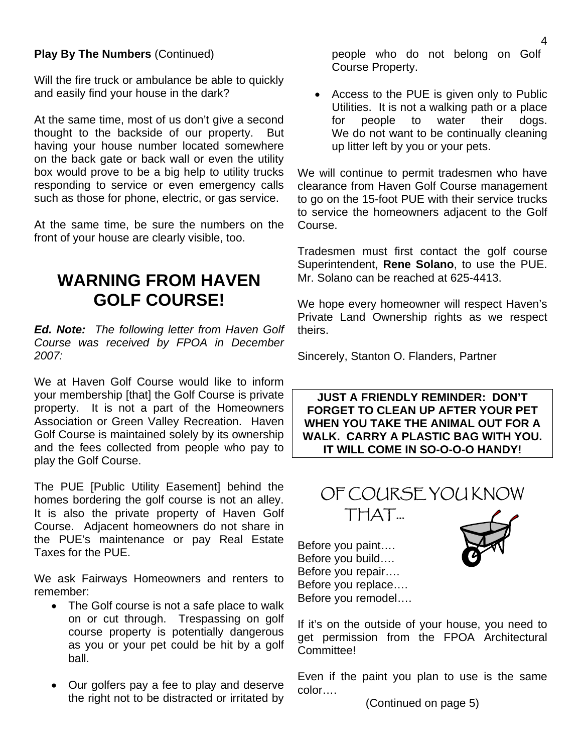### **Play By The Numbers** (Continued)

Will the fire truck or ambulance be able to quickly and easily find your house in the dark?

At the same time, most of us don't give a second thought to the backside of our property. But having your house number located somewhere on the back gate or back wall or even the utility box would prove to be a big help to utility trucks responding to service or even emergency calls such as those for phone, electric, or gas service.

At the same time, be sure the numbers on the front of your house are clearly visible, too.

# **WARNING FROM HAVEN GOLF COURSE!**

*Ed. Note: The following letter from Haven Golf Course was received by FPOA in December 2007:* 

We at Haven Golf Course would like to inform your membership [that] the Golf Course is private property. It is not a part of the Homeowners Association or Green Valley Recreation. Haven Golf Course is maintained solely by its ownership and the fees collected from people who pay to play the Golf Course.

The PUE [Public Utility Easement] behind the homes bordering the golf course is not an alley. It is also the private property of Haven Golf Course. Adjacent homeowners do not share in the PUE's maintenance or pay Real Estate Taxes for the PUE.

We ask Fairways Homeowners and renters to remember:

- The Golf course is not a safe place to walk on or cut through. Trespassing on golf course property is potentially dangerous as you or your pet could be hit by a golf ball.
- Our golfers pay a fee to play and deserve the right not to be distracted or irritated by

people who do not belong on Golf Course Property.

• Access to the PUE is given only to Public Utilities. It is not a walking path or a place for people to water their dogs. We do not want to be continually cleaning up litter left by you or your pets.

We will continue to permit tradesmen who have clearance from Haven Golf Course management to go on the 15-foot PUE with their service trucks to service the homeowners adjacent to the Golf Course.

Tradesmen must first contact the golf course Superintendent, **Rene Solano**, to use the PUE. Mr. Solano can be reached at 625-4413.

We hope every homeowner will respect Haven's Private Land Ownership rights as we respect theirs.

Sincerely, Stanton O. Flanders, Partner

**JUST A FRIENDLY REMINDER: DON'T FORGET TO CLEAN UP AFTER YOUR PET WHEN YOU TAKE THE ANIMAL OUT FOR A WALK. CARRY A PLASTIC BAG WITH YOU. IT WILL COME IN SO-O-O-O HANDY!** 



Before you paint…. Before you build…. Before you repair…. Before you replace…. Before you remodel….



Even if the paint you plan to use is the same color….

(Continued on page 5)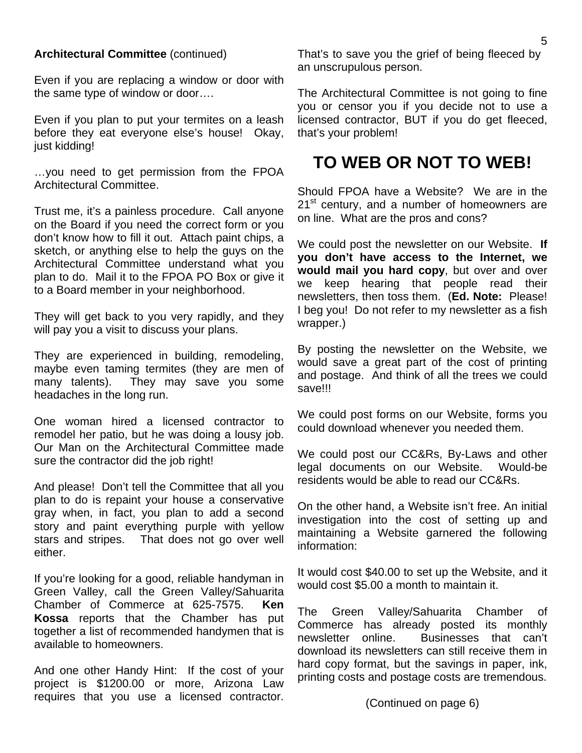#### **Architectural Committee** (continued)

Even if you are replacing a window or door with the same type of window or door….

Even if you plan to put your termites on a leash before they eat everyone else's house! Okay, just kidding!

…you need to get permission from the FPOA Architectural Committee.

Trust me, it's a painless procedure. Call anyone on the Board if you need the correct form or you don't know how to fill it out. Attach paint chips, a sketch, or anything else to help the guys on the Architectural Committee understand what you plan to do. Mail it to the FPOA PO Box or give it to a Board member in your neighborhood.

They will get back to you very rapidly, and they will pay you a visit to discuss your plans.

They are experienced in building, remodeling, maybe even taming termites (they are men of many talents). They may save you some headaches in the long run.

One woman hired a licensed contractor to remodel her patio, but he was doing a lousy job. Our Man on the Architectural Committee made sure the contractor did the job right!

And please! Don't tell the Committee that all you plan to do is repaint your house a conservative gray when, in fact, you plan to add a second story and paint everything purple with yellow stars and stripes. That does not go over well either.

If you're looking for a good, reliable handyman in Green Valley, call the Green Valley/Sahuarita Chamber of Commerce at 625-7575. **Ken Kossa** reports that the Chamber has put together a list of recommended handymen that is available to homeowners.

And one other Handy Hint: If the cost of your project is \$1200.00 or more, Arizona Law requires that you use a licensed contractor. That's to save you the grief of being fleeced by an unscrupulous person.

The Architectural Committee is not going to fine you or censor you if you decide not to use a licensed contractor, BUT if you do get fleeced, that's your problem!

# **TO WEB OR NOT TO WEB!**

Should FPOA have a Website? We are in the 21<sup>st</sup> century, and a number of homeowners are on line. What are the pros and cons?

We could post the newsletter on our Website. **If you don't have access to the Internet, we would mail you hard copy**, but over and over we keep hearing that people read their newsletters, then toss them. (**Ed. Note:** Please! I beg you! Do not refer to my newsletter as a fish wrapper.)

By posting the newsletter on the Website, we would save a great part of the cost of printing and postage. And think of all the trees we could save!!!

We could post forms on our Website, forms you could download whenever you needed them.

We could post our CC&Rs, By-Laws and other legal documents on our Website. Would-be residents would be able to read our CC&Rs.

On the other hand, a Website isn't free. An initial investigation into the cost of setting up and maintaining a Website garnered the following information:

It would cost \$40.00 to set up the Website, and it would cost \$5.00 a month to maintain it.

The Green Valley/Sahuarita Chamber of Commerce has already posted its monthly newsletter online. Businesses that can't download its newsletters can still receive them in hard copy format, but the savings in paper, ink, printing costs and postage costs are tremendous.

(Continued on page 6)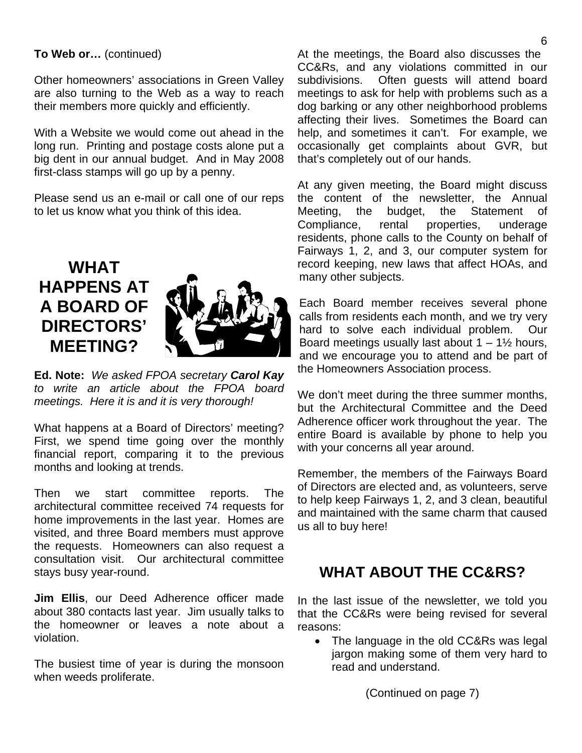### **To Web or…** (continued)

Other homeowners' associations in Green Valley are also turning to the Web as a way to reach their members more quickly and efficiently.

With a Website we would come out ahead in the long run. Printing and postage costs alone put a big dent in our annual budget. And in May 2008 first-class stamps will go up by a penny.

Please send us an e-mail or call one of our reps to let us know what you think of this idea.

# **WHAT HAPPENS AT A BOARD OF DIRECTORS' MEETING?**



**Ed. Note:** *We asked FPOA secretary Carol Kay to write an article about the FPOA board meetings. Here it is and it is very thorough!* 

What happens at a Board of Directors' meeting? First, we spend time going over the monthly financial report, comparing it to the previous months and looking at trends.

Then we start committee reports. The architectural committee received 74 requests for home improvements in the last year. Homes are visited, and three Board members must approve the requests. Homeowners can also request a consultation visit. Our architectural committee stays busy year-round.

**Jim Ellis**, our Deed Adherence officer made about 380 contacts last year. Jim usually talks to the homeowner or leaves a note about a violation.

The busiest time of year is during the monsoon when weeds proliferate.

At the meetings, the Board also discusses the CC&Rs, and any violations committed in our subdivisions. Often guests will attend board meetings to ask for help with problems such as a dog barking or any other neighborhood problems affecting their lives. Sometimes the Board can help, and sometimes it can't. For example, we occasionally get complaints about GVR, but that's completely out of our hands.

At any given meeting, the Board might discuss the content of the newsletter, the Annual Meeting, the budget, the Statement of Compliance, rental properties, underage residents, phone calls to the County on behalf of Fairways 1, 2, and 3, our computer system for record keeping, new laws that affect HOAs, and many other subjects.

Each Board member receives several phone calls from residents each month, and we try very hard to solve each individual problem. Our Board meetings usually last about  $1 - 1\frac{1}{2}$  hours, and we encourage you to attend and be part of the Homeowners Association process.

We don't meet during the three summer months, but the Architectural Committee and the Deed Adherence officer work throughout the year. The entire Board is available by phone to help you with your concerns all year around.

Remember, the members of the Fairways Board of Directors are elected and, as volunteers, serve to help keep Fairways 1, 2, and 3 clean, beautiful and maintained with the same charm that caused us all to buy here!

# **WHAT ABOUT THE CC&RS?**

In the last issue of the newsletter, we told you that the CC&Rs were being revised for several reasons:

• The language in the old CC&Rs was legal jargon making some of them very hard to read and understand.

(Continued on page 7)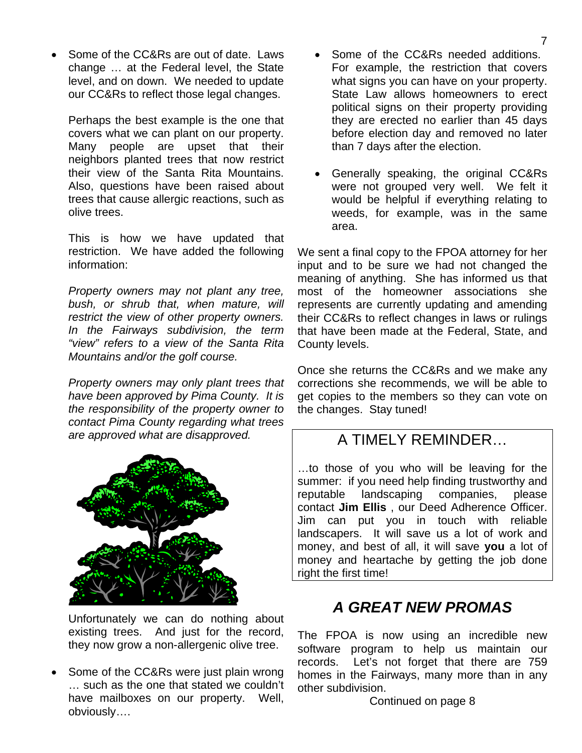• Some of the CC&Rs are out of date. Laws change … at the Federal level, the State level, and on down. We needed to update our CC&Rs to reflect those legal changes.

Perhaps the best example is the one that covers what we can plant on our property. Many people are upset that their neighbors planted trees that now restrict their view of the Santa Rita Mountains. Also, questions have been raised about trees that cause allergic reactions, such as olive trees.

This is how we have updated that restriction. We have added the following information:

*Property owners may not plant any tree, bush, or shrub that, when mature, will restrict the view of other property owners. In the Fairways subdivision, the term "view" refers to a view of the Santa Rita Mountains and/or the golf course.* 

*Property owners may only plant trees that have been approved by Pima County. It is the responsibility of the property owner to contact Pima County regarding what trees are approved what are disapproved.* 



Unfortunately we can do nothing about existing trees. And just for the record, they now grow a non-allergenic olive tree.

Some of the CC&Rs were just plain wrong … such as the one that stated we couldn't have mailboxes on our property. Well, obviously….

- Some of the CC&Rs needed additions. For example, the restriction that covers what signs you can have on your property. State Law allows homeowners to erect political signs on their property providing they are erected no earlier than 45 days before election day and removed no later than 7 days after the election.
- Generally speaking, the original CC&Rs were not grouped very well. We felt it would be helpful if everything relating to weeds, for example, was in the same area.

We sent a final copy to the FPOA attorney for her input and to be sure we had not changed the meaning of anything. She has informed us that most of the homeowner associations she represents are currently updating and amending their CC&Rs to reflect changes in laws or rulings that have been made at the Federal, State, and County levels.

Once she returns the CC&Rs and we make any corrections she recommends, we will be able to get copies to the members so they can vote on the changes. Stay tuned!

## A TIMELY REMINDER…

…to those of you who will be leaving for the summer: if you need help finding trustworthy and reputable landscaping companies, please contact **Jim Ellis** , our Deed Adherence Officer. Jim can put you in touch with reliable landscapers. It will save us a lot of work and money, and best of all, it will save **you** a lot of money and heartache by getting the job done right the first time!

# *A GREAT NEW PROMAS*

The FPOA is now using an incredible new software program to help us maintain our records. Let's not forget that there are 759 homes in the Fairways, many more than in any other subdivision.

Continued on page 8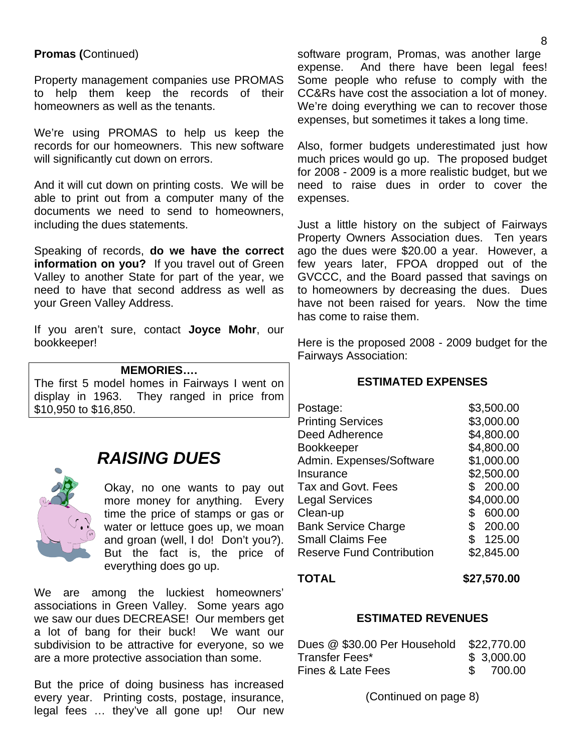### **Promas (**Continued)

Property management companies use PROMAS to help them keep the records of their homeowners as well as the tenants.

We're using PROMAS to help us keep the records for our homeowners. This new software will significantly cut down on errors.

And it will cut down on printing costs. We will be able to print out from a computer many of the documents we need to send to homeowners, including the dues statements.

Speaking of records, **do we have the correct information on you?** If you travel out of Green Valley to another State for part of the year, we need to have that second address as well as your Green Valley Address.

If you aren't sure, contact **Joyce Mohr**, our bookkeeper!

#### **MEMORIES….**

The first 5 model homes in Fairways I went on display in 1963. They ranged in price from \$10,950 to \$16,850.



# *RAISING DUES*

Okay, no one wants to pay out more money for anything. Every time the price of stamps or gas or water or lettuce goes up, we moan and groan (well, I do! Don't you?). But the fact is, the price of everything does go up.

We are among the luckiest homeowners' associations in Green Valley. Some years ago we saw our dues DECREASE! Our members get a lot of bang for their buck! We want our subdivision to be attractive for everyone, so we are a more protective association than some.

But the price of doing business has increased every year. Printing costs, postage, insurance, legal fees … they've all gone up! Our new

software program, Promas, was another large expense. And there have been legal fees! Some people who refuse to comply with the CC&Rs have cost the association a lot of money. We're doing everything we can to recover those expenses, but sometimes it takes a long time.

Also, former budgets underestimated just how much prices would go up. The proposed budget for 2008 - 2009 is a more realistic budget, but we need to raise dues in order to cover the expenses.

Just a little history on the subject of Fairways Property Owners Association dues. Ten years ago the dues were \$20.00 a year. However, a few years later, FPOA dropped out of the GVCCC, and the Board passed that savings on to homeowners by decreasing the dues. Dues have not been raised for years. Now the time has come to raise them.

Here is the proposed 2008 - 2009 budget for the Fairways Association:

#### **ESTIMATED EXPENSES**

| Postage:                         | \$3,500.00   |
|----------------------------------|--------------|
| <b>Printing Services</b>         | \$3,000.00   |
| <b>Deed Adherence</b>            | \$4,800.00   |
| <b>Bookkeeper</b>                | \$4,800.00   |
| Admin. Expenses/Software         | \$1,000.00   |
| Insurance                        | \$2,500.00   |
| Tax and Govt. Fees               | 200.00<br>\$ |
| <b>Legal Services</b>            | \$4,000.00   |
| Clean-up                         | 600.00<br>S  |
| <b>Bank Service Charge</b>       | \$200.00     |
| <b>Small Claims Fee</b>          | 125.00<br>\$ |
| <b>Reserve Fund Contribution</b> | \$2,845.00   |
|                                  |              |

**TOTAL \$27,570.00**

#### **ESTIMATED REVENUES**

| Dues @ \$30.00 Per Household \$22,770.00 |            |
|------------------------------------------|------------|
| Transfer Fees*                           | \$3,000.00 |
| Fines & Late Fees                        | \$ 700.00  |

(Continued on page 8)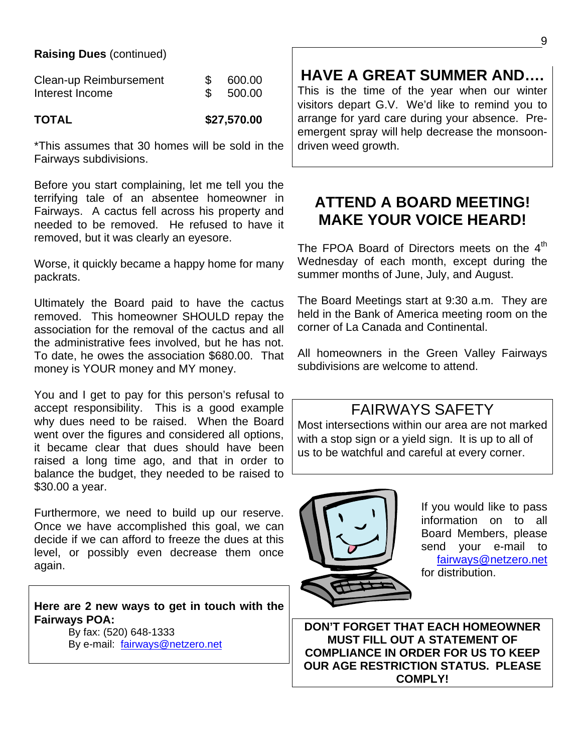### **Raising Dues** (continued)

| Clean-up Reimbursement | 600.00 |
|------------------------|--------|
| Interest Income        | 500.00 |

**TOTAL \$27,570.00** 

\*This assumes that 30 homes will be sold in the Fairways subdivisions.

Before you start complaining, let me tell you the terrifying tale of an absentee homeowner in Fairways. A cactus fell across his property and needed to be removed. He refused to have it removed, but it was clearly an eyesore.

Worse, it quickly became a happy home for many packrats.

Ultimately the Board paid to have the cactus removed. This homeowner SHOULD repay the association for the removal of the cactus and all the administrative fees involved, but he has not. To date, he owes the association \$680.00. That money is YOUR money and MY money.

You and I get to pay for this person's refusal to accept responsibility. This is a good example why dues need to be raised. When the Board went over the figures and considered all options, it became clear that dues should have been raised a long time ago, and that in order to balance the budget, they needed to be raised to \$30.00 a year.

Furthermore, we need to build up our reserve. Once we have accomplished this goal, we can decide if we can afford to freeze the dues at this level, or possibly even decrease them once again.

**Here are 2 new ways to get in touch with the Fairways POA:** 

By fax: (520) 648-1333 By e-mail: fairways@netzero.net

# **HAVE A GREAT SUMMER AND….**

This is the time of the year when our winter visitors depart G.V. We'd like to remind you to arrange for yard care during your absence. Preemergent spray will help decrease the monsoondriven weed growth.

## **ATTEND A BOARD MEETING! MAKE YOUR VOICE HEARD!**

The FPOA Board of Directors meets on the  $4<sup>th</sup>$ Wednesday of each month, except during the summer months of June, July, and August.

The Board Meetings start at 9:30 a.m. They are held in the Bank of America meeting room on the corner of La Canada and Continental.

All homeowners in the Green Valley Fairways subdivisions are welcome to attend.

# FAIRWAYS SAFETY

Most intersections within our area are not marked with a stop sign or a yield sign. It is up to all of us to be watchful and careful at every corner.



If you would like to pass information on to all Board Members, please send your e-mail to fairways@netzero.net for distribution.

**DON'T FORGET THAT EACH HOMEOWNER MUST FILL OUT A STATEMENT OF COMPLIANCE IN ORDER FOR US TO KEEP OUR AGE RESTRICTION STATUS. PLEASE COMPLY!**